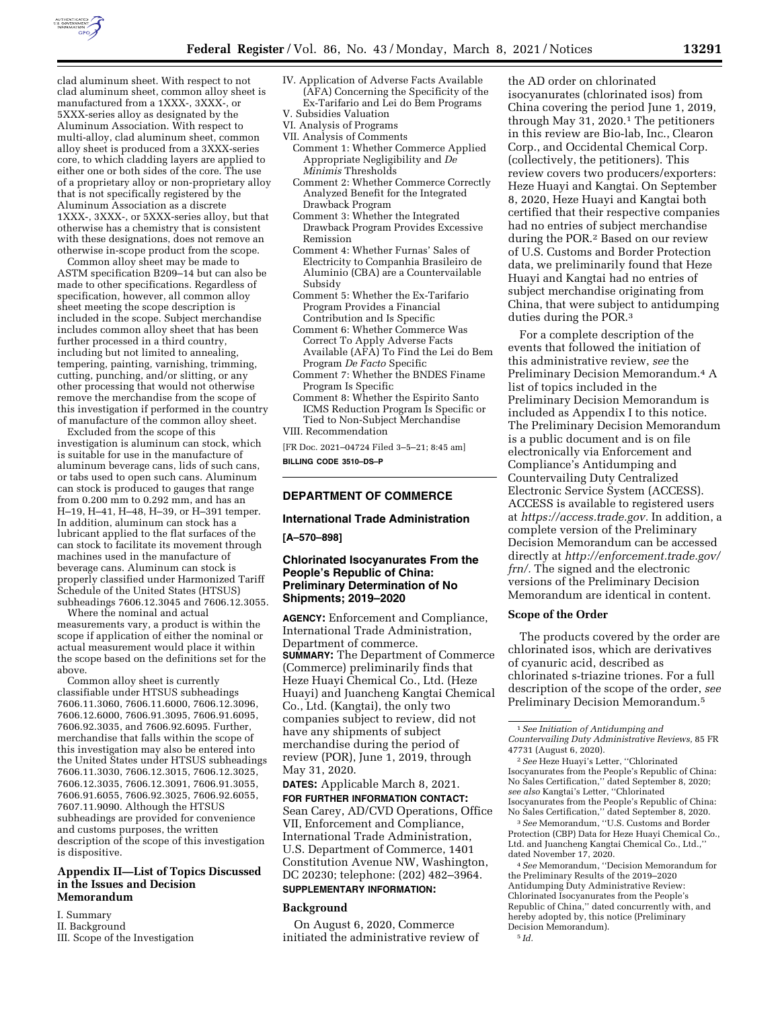

clad aluminum sheet. With respect to not clad aluminum sheet, common alloy sheet is manufactured from a 1XXX-, 3XXX-, or 5XXX-series alloy as designated by the Aluminum Association. With respect to multi-alloy, clad aluminum sheet, common alloy sheet is produced from a 3XXX-series core, to which cladding layers are applied to either one or both sides of the core. The use of a proprietary alloy or non-proprietary alloy that is not specifically registered by the Aluminum Association as a discrete 1XXX-, 3XXX-, or 5XXX-series alloy, but that

with these designations, does not remove an otherwise in-scope product from the scope. Common alloy sheet may be made to ASTM specification B209–14 but can also be made to other specifications. Regardless of specification, however, all common alloy sheet meeting the scope description is included in the scope. Subject merchandise includes common alloy sheet that has been further processed in a third country, including but not limited to annealing, tempering, painting, varnishing, trimming, cutting, punching, and/or slitting, or any other processing that would not otherwise remove the merchandise from the scope of this investigation if performed in the country of manufacture of the common alloy sheet.

otherwise has a chemistry that is consistent

Excluded from the scope of this investigation is aluminum can stock, which is suitable for use in the manufacture of aluminum beverage cans, lids of such cans, or tabs used to open such cans. Aluminum can stock is produced to gauges that range from 0.200 mm to 0.292 mm, and has an H–19, H–41, H–48, H–39, or H–391 temper. In addition, aluminum can stock has a lubricant applied to the flat surfaces of the can stock to facilitate its movement through machines used in the manufacture of beverage cans. Aluminum can stock is properly classified under Harmonized Tariff Schedule of the United States (HTSUS) subheadings 7606.12.3045 and 7606.12.3055.

Where the nominal and actual measurements vary, a product is within the scope if application of either the nominal or actual measurement would place it within the scope based on the definitions set for the above.

Common alloy sheet is currently classifiable under HTSUS subheadings 7606.11.3060, 7606.11.6000, 7606.12.3096, 7606.12.6000, 7606.91.3095, 7606.91.6095, 7606.92.3035, and 7606.92.6095. Further, merchandise that falls within the scope of this investigation may also be entered into the United States under HTSUS subheadings 7606.11.3030, 7606.12.3015, 7606.12.3025, 7606.12.3035, 7606.12.3091, 7606.91.3055, 7606.91.6055, 7606.92.3025, 7606.92.6055, 7607.11.9090. Although the HTSUS subheadings are provided for convenience and customs purposes, the written description of the scope of this investigation is dispositive.

### **Appendix II—List of Topics Discussed in the Issues and Decision Memorandum**

I. Summary

II. Background

III. Scope of the Investigation

- IV. Application of Adverse Facts Available (AFA) Concerning the Specificity of the Ex-Tarifario and Lei do Bem Programs V. Subsidies Valuation
- 
- VI. Analysis of Programs VII. Analysis of Comments
- Comment 1: Whether Commerce Applied
- Appropriate Negligibility and *De Minimis* Thresholds
- Comment 2: Whether Commerce Correctly Analyzed Benefit for the Integrated Drawback Program
- Comment 3: Whether the Integrated Drawback Program Provides Excessive Remission
- Comment 4: Whether Furnas' Sales of Electricity to Companhia Brasileiro de Aluminio (CBA) are a Countervailable Subsidy
- Comment 5: Whether the Ex-Tarifario Program Provides a Financial Contribution and Is Specific
- Comment 6: Whether Commerce Was Correct To Apply Adverse Facts Available (AFA) To Find the Lei do Bem Program *De Facto* Specific
- Comment 7: Whether the BNDES Finame Program Is Specific
- Comment 8: Whether the Espirito Santo ICMS Reduction Program Is Specific or Tied to Non-Subject Merchandise

# VIII. Recommendation

[FR Doc. 2021–04724 Filed 3–5–21; 8:45 am] **BILLING CODE 3510–DS–P** 

# **DEPARTMENT OF COMMERCE**

#### **International Trade Administration**

#### **[A–570–898]**

# **Chlorinated Isocyanurates From the People's Republic of China: Preliminary Determination of No Shipments; 2019–2020**

**AGENCY:** Enforcement and Compliance, International Trade Administration, Department of commerce. **SUMMARY:** The Department of Commerce (Commerce) preliminarily finds that Heze Huayi Chemical Co., Ltd. (Heze Huayi) and Juancheng Kangtai Chemical Co., Ltd. (Kangtai), the only two companies subject to review, did not have any shipments of subject merchandise during the period of review (POR), June 1, 2019, through May 31, 2020.

**DATES:** Applicable March 8, 2021. **FOR FURTHER INFORMATION CONTACT:**  Sean Carey, AD/CVD Operations, Office VII, Enforcement and Compliance, International Trade Administration, U.S. Department of Commerce, 1401 Constitution Avenue NW, Washington, DC 20230; telephone: (202) 482–3964.

# **SUPPLEMENTARY INFORMATION:**

#### **Background**

On August 6, 2020, Commerce initiated the administrative review of

the AD order on chlorinated isocyanurates (chlorinated isos) from China covering the period June 1, 2019, through May 31, 2020.1 The petitioners in this review are Bio-lab, Inc., Clearon Corp., and Occidental Chemical Corp. (collectively, the petitioners). This review covers two producers/exporters: Heze Huayi and Kangtai. On September 8, 2020, Heze Huayi and Kangtai both certified that their respective companies had no entries of subject merchandise during the POR.2 Based on our review of U.S. Customs and Border Protection data, we preliminarily found that Heze Huayi and Kangtai had no entries of subject merchandise originating from China, that were subject to antidumping duties during the POR.3

For a complete description of the events that followed the initiation of this administrative review, *see* the Preliminary Decision Memorandum.4 A list of topics included in the Preliminary Decision Memorandum is included as Appendix I to this notice. The Preliminary Decision Memorandum is a public document and is on file electronically via Enforcement and Compliance's Antidumping and Countervailing Duty Centralized Electronic Service System (ACCESS). ACCESS is available to registered users at *[https://access.trade.gov.](https://access.trade.gov)* In addition, a complete version of the Preliminary Decision Memorandum can be accessed directly at *[http://enforcement.trade.gov/](http://enforcement.trade.gov/frn/)  [frn/.](http://enforcement.trade.gov/frn/)* The signed and the electronic versions of the Preliminary Decision Memorandum are identical in content.

#### **Scope of the Order**

The products covered by the order are chlorinated isos, which are derivatives of cyanuric acid, described as chlorinated s-triazine triones. For a full description of the scope of the order, *see*  Preliminary Decision Memorandum.5

2*See* Heze Huayi's Letter, ''Chlorinated Isocyanurates from the People's Republic of China: No Sales Certification,'' dated September 8, 2020; *see also* Kangtai's Letter, ''Chlorinated Isocyanurates from the People's Republic of China: No Sales Certification,'' dated September 8, 2020.

3*See* Memorandum, ''U.S. Customs and Border Protection (CBP) Data for Heze Huayi Chemical Co., Ltd. and Juancheng Kangtai Chemical Co., Ltd.,'' dated November 17, 2020.

4*See* Memorandum, ''Decision Memorandum for the Preliminary Results of the 2019–2020 Antidumping Duty Administrative Review: Chlorinated Isocyanurates from the People's Republic of China,'' dated concurrently with, and hereby adopted by, this notice (Preliminary Decision Memorandum). 5 *Id.* 

<sup>1</sup>*See Initiation of Antidumping and Countervailing Duty Administrative Reviews,* 85 FR 47731 (August 6, 2020).